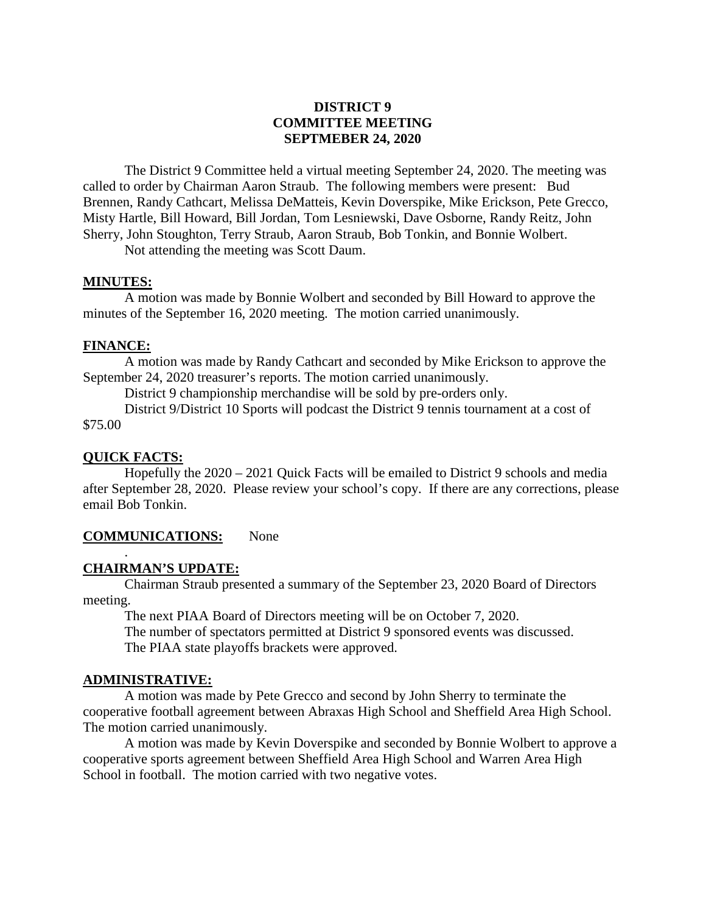# **DISTRICT 9 COMMITTEE MEETING SEPTMEBER 24, 2020**

The District 9 Committee held a virtual meeting September 24, 2020. The meeting was called to order by Chairman Aaron Straub. The following members were present: Bud Brennen, Randy Cathcart, Melissa DeMatteis, Kevin Doverspike, Mike Erickson, Pete Grecco, Misty Hartle, Bill Howard, Bill Jordan, Tom Lesniewski, Dave Osborne, Randy Reitz, John Sherry, John Stoughton, Terry Straub, Aaron Straub, Bob Tonkin, and Bonnie Wolbert.

Not attending the meeting was Scott Daum.

## **MINUTES:**

A motion was made by Bonnie Wolbert and seconded by Bill Howard to approve the minutes of the September 16, 2020 meeting. The motion carried unanimously.

### **FINANCE:**

A motion was made by Randy Cathcart and seconded by Mike Erickson to approve the September 24, 2020 treasurer's reports. The motion carried unanimously.

District 9 championship merchandise will be sold by pre-orders only.

District 9/District 10 Sports will podcast the District 9 tennis tournament at a cost of \$75.00

## **QUICK FACTS:**

.

Hopefully the 2020 – 2021 Quick Facts will be emailed to District 9 schools and media after September 28, 2020. Please review your school's copy. If there are any corrections, please email Bob Tonkin.

#### **COMMUNICATIONS:** None

## **CHAIRMAN'S UPDATE:**

Chairman Straub presented a summary of the September 23, 2020 Board of Directors meeting.

The next PIAA Board of Directors meeting will be on October 7, 2020. The number of spectators permitted at District 9 sponsored events was discussed. The PIAA state playoffs brackets were approved.

### **ADMINISTRATIVE:**

A motion was made by Pete Grecco and second by John Sherry to terminate the cooperative football agreement between Abraxas High School and Sheffield Area High School. The motion carried unanimously.

A motion was made by Kevin Doverspike and seconded by Bonnie Wolbert to approve a cooperative sports agreement between Sheffield Area High School and Warren Area High School in football. The motion carried with two negative votes.